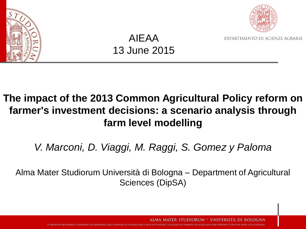



DIPARTIMENTO DI SCIENZE AGRARIE

### AIEAA 13 June 2015

### **The impact of the 2013 Common Agricultural Policy reform on farmer's investment decisions: a scenario analysis through farm level modelling**

*V. Marconi, D. Viaggi, M. Raggi, S. Gomez y Paloma*

Alma Mater Studiorum Università di Bologna – Department of Agricultural Sciences (DipSA)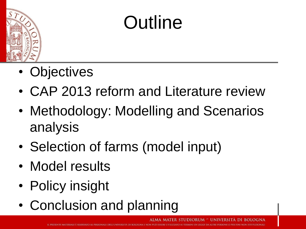

### **Outline**

- Objectives
- CAP 2013 reform and Literature review
- Methodology: Modelling and Scenarios analysis
- Selection of farms (model input)
- Model results
- Policy insight
- Conclusion and planning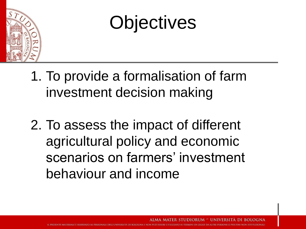

### **Objectives**

- 1. To provide a formalisation of farm investment decision making
- 2. To assess the impact of different agricultural policy and economic scenarios on farmers' investment behaviour and income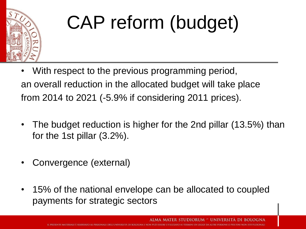

## CAP reform (budget)

- With respect to the previous programming period, an overall reduction in the allocated budget will take place from 2014 to 2021 (-5.9% if considering 2011 prices).
- The budget reduction is higher for the 2nd pillar (13.5%) than for the 1st pillar (3.2%).
- Convergence (external)
- 15% of the national envelope can be allocated to coupled payments for strategic sectors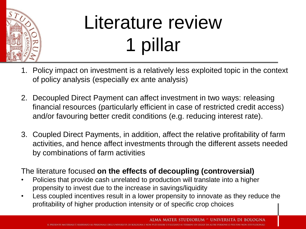

## Literature review 1 pillar

- 1. Policy impact on investment is a relatively less exploited topic in the context of policy analysis (especially ex ante analysis)
- 2. Decoupled Direct Payment can affect investment in two ways: releasing financial resources (particularly efficient in case of restricted credit access) and/or favouring better credit conditions (e.g. reducing interest rate).
- 3. Coupled Direct Payments, in addition, affect the relative profitability of farm activities, and hence affect investments through the different assets needed by combinations of farm activities

The literature focused **on the effects of decoupling (controversial)**

- Policies that provide cash unrelated to production will translate into a higher propensity to invest due to the increase in savings/liquidity
- Less coupled incentives result in a lower propensity to innovate as they reduce the profitability of higher production intensity or of specific crop choices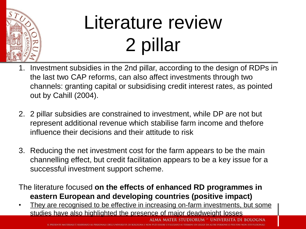

## Literature review 2 pillar

- 1. Investment subsidies in the 2nd pillar, according to the design of RDPs in the last two CAP reforms, can also affect investments through two channels: granting capital or subsidising credit interest rates, as pointed out by Cahill (2004).
- 2. 2 pillar subsidies are constrained to investment, while DP are not but represent additional revenue which stabilise farm income and thefore influence their decisions and their attitude to risk
- 3. Reducing the net investment cost for the farm appears to be the main channelling effect, but credit facilitation appears to be a key issue for a successful investment support scheme.

### The literature focused **on the effects of enhanced RD programmes in eastern European and developing countries (positive impact)**

They are recognised to be effective in increasing on-farm investments, but some studies have also highlighted the presence of major deadweight losses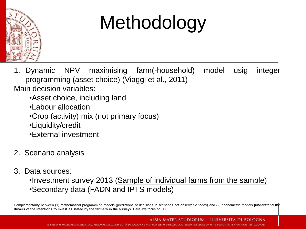

## Methodology

1. Dynamic NPV maximising farm(-household) model usig integer programming (asset choice) (Viaggi et al., 2011) Main decision variables:

- •Asset choice, including land
- •Labour allocation
- •Crop (activity) mix (not primary focus)
- •Liquidity/credit
- •External investment
- 2. Scenario analysis
- 3. Data sources:
	- •Investment survey 2013 (Sample of individual farms from the sample) •Secondary data (FADN and IPTS models)

Complementarity between (1) mathematical programming models (predictions of decisions in scenarios not observable today) and (2) econometric models **(understand the drivers of the intentions to invest as stated by the farmers in the survey).** Here, we focus on (1).

> **IDIORUM UNIVERSITA**

SSERE UTILIZZATO AL TERMINI DI LEGGE DA ALTRE PERSONE O PER FINI NON ISTITUZIONALI **IL PRESENTE MATERIALE È RISERVATO AL PERSONALE DELL'UNIVE**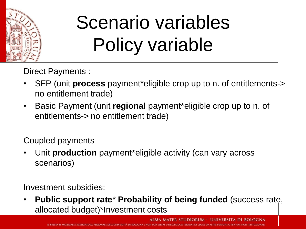

## Scenario variables Policy variable

Direct Payments :

- SFP (unit **process** payment\*eligible crop up to n. of entitlements-> no entitlement trade)
- Basic Payment (unit **regional** payment\*eligible crop up to n. of entitlements-> no entitlement trade)

Coupled payments

• Unit **production** payment\*eligible activity (can vary across scenarios)

Investment subsidies:

• **Public support rate**\* **Probability of being funded** (success rate, allocated budget)\*Investment costs

NALE DELL'UNIVERSITÀ DI BOLOGNA E NON PUÒ ESSERE UTILIZZATO AI TERMINI DI LEGGE DA ALTRE PERSONE O PER FINI NON ISTITUZIONALI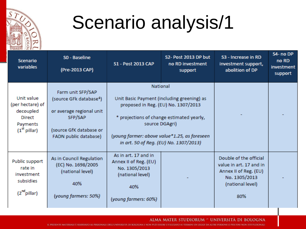

### Scenario analysis/1

| <b>Scenario</b><br>variables                                                                         | SO - Baseline<br>(Pre-2013 CAP)                                                                                                                     | S1 - Post 2013 CAP                                                                                                                                                                                                                                     | S2- Post 2013 DP but<br>no RD investment<br>support | S3 - Increase in RD<br>investment support,<br>abolition of DP                                                          | S4- no DP<br>no RD<br>investment<br>support |
|------------------------------------------------------------------------------------------------------|-----------------------------------------------------------------------------------------------------------------------------------------------------|--------------------------------------------------------------------------------------------------------------------------------------------------------------------------------------------------------------------------------------------------------|-----------------------------------------------------|------------------------------------------------------------------------------------------------------------------------|---------------------------------------------|
| Unit value<br>(per hectare) of<br>decoupled<br><b>Direct</b><br>Payments<br>(1 <sup>st</sup> pillar) | Farm unit SFP/SAP<br>(source GFk database <sup>4</sup> )<br>or average regional unit<br>SFP/SAP<br>(source GfK database or<br>FADN public database) | National<br>Unit Basic Payment (including greening) as<br>proposed in Reg. (EU) No. 1307/2013<br>* projections of change estimated yearly,<br>source DGAgri)<br>(young farmer: above value*1.25, as foreseen<br>in art. 50 of Reg. (EU) No. 1307/2013) |                                                     |                                                                                                                        |                                             |
| Public support<br>rate in<br>investment<br>subsidies<br>(2 <sup>nd</sup> pillar)                     | As in Council Regulation<br>(EC) No. 1698/2005<br>(national level)<br>40%<br>(young farmers: 50%)                                                   | As in art, 17 and in<br>Annex II of Reg. (EU)<br>No. 1305/2013<br>(national level)<br>40%<br>(young farmers: 60%)                                                                                                                                      |                                                     | Double of the official<br>value in art, 17 and in<br>Annex II of Reg. (EU)<br>No. 1305/2013<br>(national level)<br>80% |                                             |

#### ALMA MATER STUDIORUM ~ UNIVERSITÀ DI BOLOGNA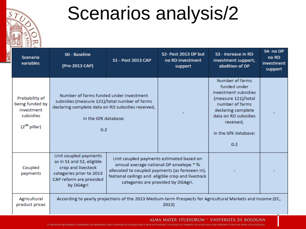

### Scenarios analysis/2

|                                | <b>Scenario</b><br>variables                                                             | SO - Baseline<br>(Pre-2013 CAP)                                                                                                                                              | <b>S1 - Post 2013 CAP</b>                                                                                                                                                                                                         | S2- Post 2013 DP but<br>no RD investment<br>support | S3 - Increase in RD<br>investment support,<br>abolition of DP                                                                                                                                | S4- no DP<br>no RD<br>investment<br>support |  |  |
|--------------------------------|------------------------------------------------------------------------------------------|------------------------------------------------------------------------------------------------------------------------------------------------------------------------------|-----------------------------------------------------------------------------------------------------------------------------------------------------------------------------------------------------------------------------------|-----------------------------------------------------|----------------------------------------------------------------------------------------------------------------------------------------------------------------------------------------------|---------------------------------------------|--|--|
|                                | Probability of<br>being funded by<br>investment<br>subsidies<br>(2 <sup>nd</sup> pillar) | Number of farms funded under investment<br>subsidies (measure 121)/total number of farms<br>declaring complete data on RD subsidies received,<br>in the GfK database:<br>0.2 |                                                                                                                                                                                                                                   |                                                     | Number of farms<br>funded under<br>investment subsidies<br>(measure 121)/total<br>number of farms<br>declaring complete<br>data on RD subsidies.<br>received,<br>in the GfK database:<br>0.2 |                                             |  |  |
|                                | Coupled<br>payments                                                                      | Unit coupled payments<br>as in S1 and S2, eligible<br>crop and livestock<br>categories prior to 2013<br>CAP reform are provided<br>by DGAgri                                 | Unit coupled payments estimated based on<br>annual average national DP envelope * %<br>allocated to coupled payments (as foreseen in).<br>National ceilings and eligible crop and livestock<br>categories are provided by DGAgri. |                                                     |                                                                                                                                                                                              |                                             |  |  |
| Agricultural<br>product prices |                                                                                          | According to yearly projections of the 2013 Medium-term Prospects for Agricultural Markets and Income (EC,<br>2013)                                                          |                                                                                                                                                                                                                                   |                                                     |                                                                                                                                                                                              |                                             |  |  |

ALMA MATER STUDIORUM ~ UNIVERSITÀ DI BOLOGNA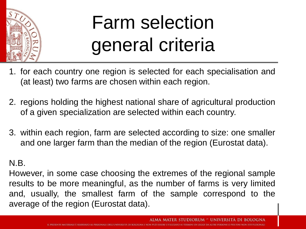

### Farm selection general criteria

- 1. for each country one region is selected for each specialisation and (at least) two farms are chosen within each region.
- 2. regions holding the highest national share of agricultural production of a given specialization are selected within each country.
- 3. within each region, farm are selected according to size: one smaller and one larger farm than the median of the region (Eurostat data).

### N.B.

However, in some case choosing the extremes of the regional sample results to be more meaningful, as the number of farms is very limited and, usually, the smallest farm of the sample correspond to the average of the region (Eurostat data).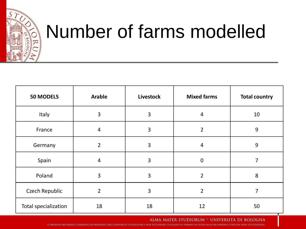

### Number of farms modelled

| <b>50 MODELS</b>      | <b>Arable</b>  | <b>Livestock</b> | <b>Mixed farms</b> | <b>Total country</b> |
|-----------------------|----------------|------------------|--------------------|----------------------|
| Italy                 | 3              | 3                | $\overline{4}$     | 10                   |
| France                | $\overline{4}$ | 3                | $\overline{2}$     | 9                    |
| Germany               | $\overline{2}$ | 3                | $\overline{4}$     | 9                    |
| Spain                 | $\overline{4}$ | 3                | $\mathbf 0$        | 7                    |
| Poland                | 3              | 3                | $\overline{2}$     | 8                    |
| <b>Czech Republic</b> | $\overline{2}$ | 3                | $\overline{2}$     | 7                    |
| Total specialization  | 18             | 18               | 12                 | 50                   |

ALMA MATER STUDIORUM - UNIVERSITÀ DI BOLOGNA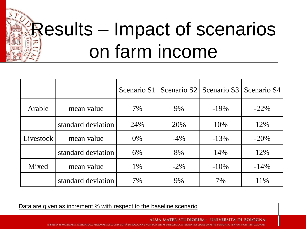## **Results – Impact of scenarios** on farm income

|           |                    |       | Scenario S1   Scenario S2   Scenario S3   Scenario S4 |         |         |
|-----------|--------------------|-------|-------------------------------------------------------|---------|---------|
| Arable    | mean value         | 7%    | 9%                                                    | $-19\%$ | $-22\%$ |
|           | standard deviation | 24%   | 20%                                                   | 10%     | 12%     |
| Livestock | mean value         | $0\%$ | $-4\%$                                                | $-13%$  | $-20\%$ |
|           | standard deviation | 6%    | 8%                                                    | 14%     | 12%     |
| Mixed     | mean value         | 1%    | $-2\%$                                                | $-10\%$ | $-14\%$ |
|           | standard deviation | 7%    | 9%                                                    | 7%      | 11%     |

Data are given as increment % with respect to the baseline scenario

ALMA MATER STUDIORUM ~ UNIVERSITÀ DI BOLOGNA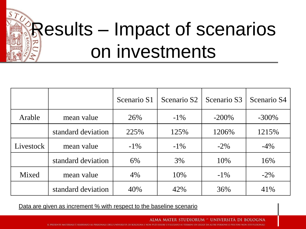# Results – Impact of scenarios on investments

|           |                    | Scenario S1 | Scenario S <sub>2</sub> | Scenario S3 | Scenario S4 |
|-----------|--------------------|-------------|-------------------------|-------------|-------------|
| Arable    | mean value         | 26%         | $-1\%$                  | $-200\%$    | $-300\%$    |
|           | standard deviation | 225%        | 125%                    | 1206%       | 1215%       |
| Livestock | mean value         | $-1\%$      | $-1\%$                  | $-2\%$      | $-4\%$      |
|           | standard deviation | 6%          | 3%                      | 10%         | 16%         |
| Mixed     | mean value         | 4%          | 10%                     | $-1\%$      | $-2\%$      |
|           | standard deviation | 40%         | 42%                     | 36%         | 41\%        |

Data are given as increment % with respect to the baseline scenario

ALMA MATER STUDIORUM - UNIVERSITÀ DI BOLOGNA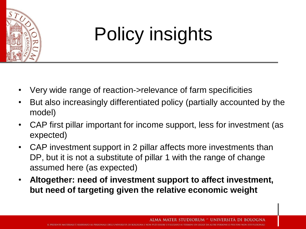

## Policy insights

- Very wide range of reaction->relevance of farm specificities
- But also increasingly differentiated policy (partially accounted by the model)
- CAP first pillar important for income support, less for investment (as expected)
- CAP investment support in 2 pillar affects more investments than DP, but it is not a substitute of pillar 1 with the range of change assumed here (as expected)
- **Altogether: need of investment support to affect investment, but need of targeting given the relative economic weight**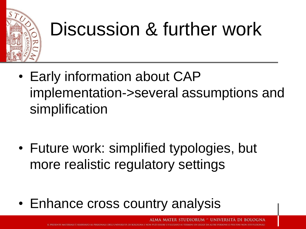

### Discussion & further work

- Early information about CAP implementation->several assumptions and simplification
- Future work: simplified typologies, but more realistic regulatory settings
- Enhance cross country analysis